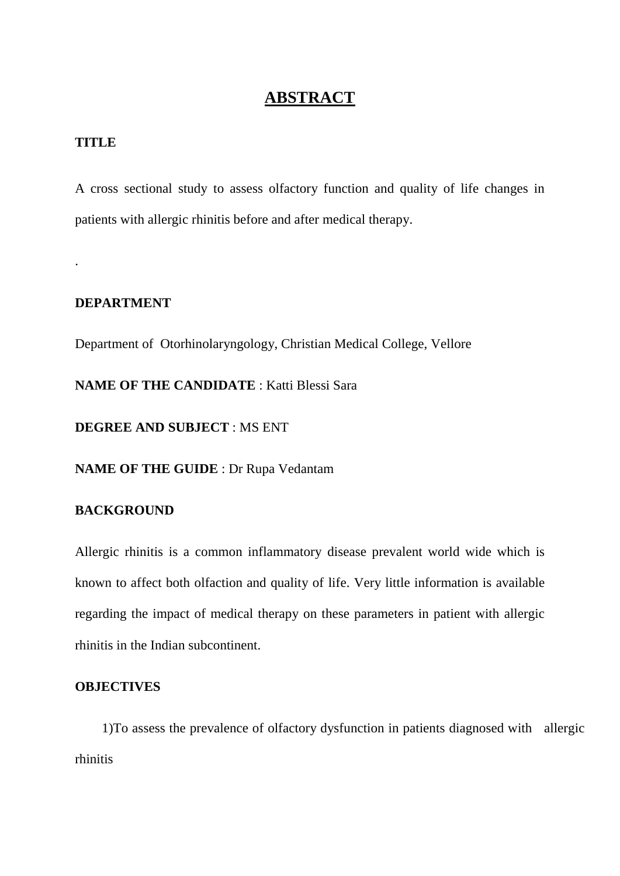# **ABSTRACT**

### **TITLE**

.

A cross sectional study to assess olfactory function and quality of life changes in patients with allergic rhinitis before and after medical therapy.

## **DEPARTMENT**

Department of Otorhinolaryngology, Christian Medical College, Vellore

**NAME OF THE CANDIDATE** : Katti Blessi Sara

**DEGREE AND SUBJECT** : MS ENT

**NAME OF THE GUIDE** : Dr Rupa Vedantam

## **BACKGROUND**

Allergic rhinitis is a common inflammatory disease prevalent world wide which is known to affect both olfaction and quality of life. Very little information is available regarding the impact of medical therapy on these parameters in patient with allergic rhinitis in the Indian subcontinent.

#### **OBJECTIVES**

 1)To assess the prevalence of olfactory dysfunction in patients diagnosed with allergic rhinitis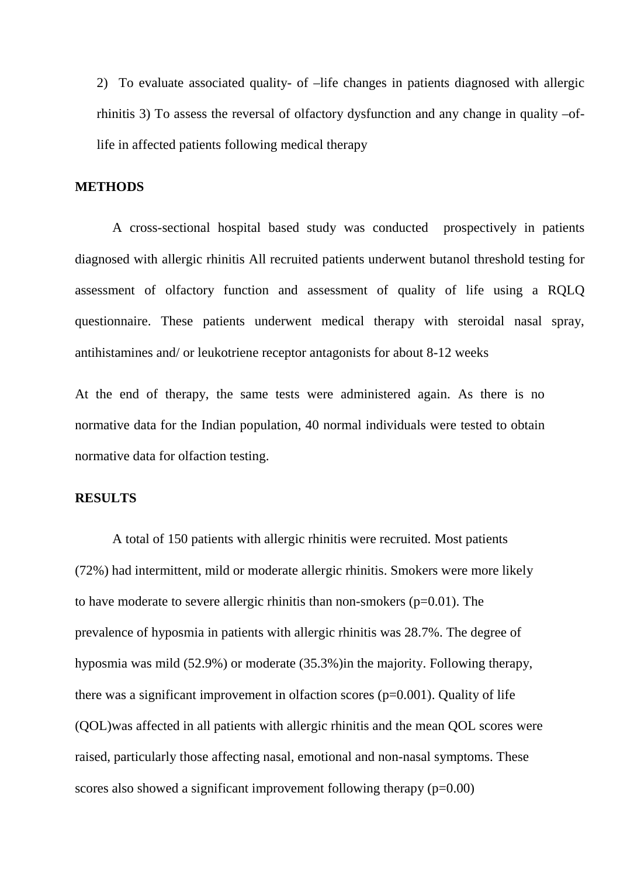2) To evaluate associated quality- of –life changes in patients diagnosed with allergic rhinitis 3) To assess the reversal of olfactory dysfunction and any change in quality –oflife in affected patients following medical therapy

#### **METHODS**

A cross-sectional hospital based study was conducted prospectively in patients diagnosed with allergic rhinitis All recruited patients underwent butanol threshold testing for assessment of olfactory function and assessment of quality of life using a RQLQ questionnaire. These patients underwent medical therapy with steroidal nasal spray, antihistamines and/ or leukotriene receptor antagonists for about 8-12 weeks

At the end of therapy, the same tests were administered again. As there is no normative data for the Indian population, 40 normal individuals were tested to obtain normative data for olfaction testing.

### **RESULTS**

A total of 150 patients with allergic rhinitis were recruited. Most patients (72%) had intermittent, mild or moderate allergic rhinitis. Smokers were more likely to have moderate to severe allergic rhinitis than non-smokers  $(p=0.01)$ . The prevalence of hyposmia in patients with allergic rhinitis was 28.7%. The degree of hyposmia was mild (52.9%) or moderate (35.3%)in the majority. Following therapy, there was a significant improvement in olfaction scores  $(p=0.001)$ . Quality of life (QOL)was affected in all patients with allergic rhinitis and the mean QOL scores were raised, particularly those affecting nasal, emotional and non-nasal symptoms. These scores also showed a significant improvement following therapy  $(p=0.00)$